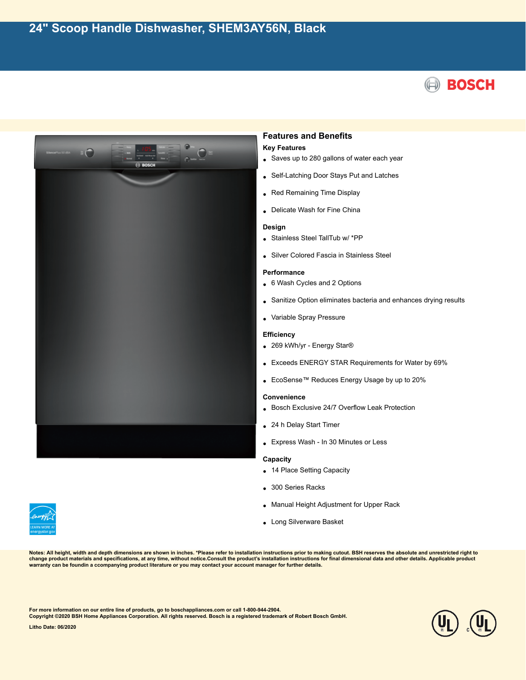



## **Features and Benefits Key Features**

- Saves up to 280 gallons of water each year
- Self-Latching Door Stays Put and Latches
- Red Remaining Time Display
- Delicate Wash for Fine China

#### **Design**

- Stainless Steel TallTub w/ \*PP
- Silver Colored Fascia in Stainless Steel

#### **Performance**

- 6 Wash Cycles and 2 Options
- Sanitize Option eliminates bacteria and enhances drying results
- Variable Spray Pressure

### **Efficiency**

- 269 kWh/yr Energy Star®
- Exceeds ENERGY STAR Requirements for Water by 69%
- EcoSense™ Reduces Energy Usage by up to 20%

#### **Convenience**

- Bosch Exclusive 24/7 Overflow Leak Protection
- 24 h Delay Start Timer
- Express Wash In 30 Minutes or Less

#### **Capacity**

- 14 Place Setting Capacity
- 300 Series Racks
- Manual Height Adjustment for Upper Rack
- Long Silverware Basket

**Notes: All height, width and depth dimensions are shown in inches. \*Please refer to installation instructions prior to making cutout. BSH reserves the absolute and unrestricted right to** change product materials and specifications, at any time, without notice.Consult the product's installation instructions for final dimensional data and other details. Applicable product<br>warranty can be foundin a ccompanyin

**For more information on our entire line of products, go to boschappliances.com or call 1-800-944-2904.**

**Copyright ©2020 BSH Home Appliances Corporation. All rights reserved. Bosch is a registered trademark of Robert Bosch GmbH.**

**Litho Date: 06/2020**